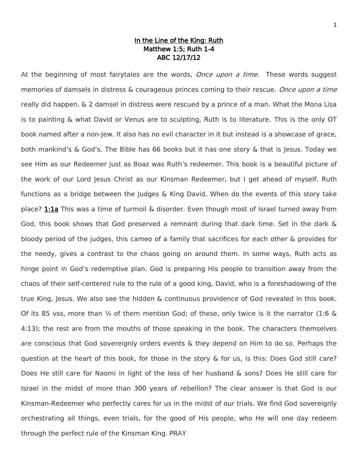# In the Line of the King: Ruth Matthew 1:5; Ruth 1-4 ABC 12/17/12

At the beginning of most fairytales are the words, Once upon a time. These words suggest memories of damsels in distress & courageous princes coming to their rescue. Once upon a time really did happen. & 2 damsel in distress were rescued by a prince of a man. What the Mona Lisa is to painting & what David or Venus are to sculpting, Ruth is to literature. This is the only OT book named after a non-Jew. It also has no evil character in it but instead is a showcase of grace, both mankind's & God's. The Bible has 66 books but it has one story & that is Jesus. Today we see Him as our Redeemer just as Boaz was Ruth's redeemer. This book is a beautiful picture of the work of our Lord Jesus Christ as our Kinsman Redeemer, but I get ahead of myself. Ruth functions as a bridge between the Judges & King David. When do the events of this story take place? 1:1a This was a time of turmoil & disorder. Even though most of Israel turned away from God, this book shows that God preserved a remnant during that dark time. Set in the dark & bloody period of the judges, this cameo of a family that sacrifices for each other & provides for the needy, gives a contrast to the chaos going on around them. In some ways, Ruth acts as hinge point in God's redemptive plan. God is preparing His people to transition away from the chaos of their self-centered rule to the rule of a good king, David, who is a foreshadowing of the true King, Jesus. We also see the hidden & continuous providence of God revealed in this book. Of its 85 vss, more than  $\frac{1}{4}$  of them mention God; of these, only twice is it the narrator (1:6 & 4:13); the rest are from the mouths of those speaking in the book. The characters themselves are conscious that God sovereignly orders events & they depend on Him to do so. Perhaps the question at the heart of this book, for those in the story & for us, is this: Does God still care? Does He still care for Naomi in light of the loss of her husband & sons? Does He still care for Israel in the midst of more than 300 years of rebellion? The clear answer is that God is our Kinsman-Redeemer who perfectly cares for us in the midst of our trials. We find God sovereignly orchestrating all things, even trials, for the good of His people, who He will one day redeem through the perfect rule of the Kinsman King. PRAY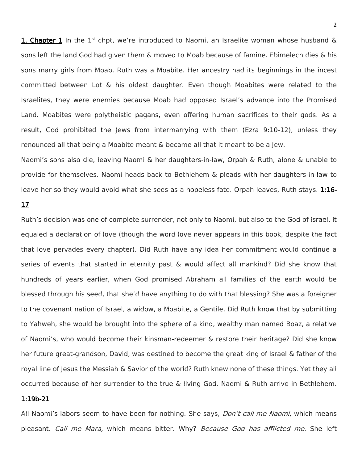1. Chapter 1 In the  $1^{st}$  chpt, we're introduced to Naomi, an Israelite woman whose husband  $\&$ sons left the land God had given them & moved to Moab because of famine. Ebimelech dies & his sons marry girls from Moab. Ruth was a Moabite. Her ancestry had its beginnings in the incest committed between Lot & his oldest daughter. Even though Moabites were related to the Israelites, they were enemies because Moab had opposed Israel's advance into the Promised Land. Moabites were polytheistic pagans, even offering human sacrifices to their gods. As a result, God prohibited the Jews from intermarrying with them (Ezra 9:10-12), unless they renounced all that being a Moabite meant & became all that it meant to be a Jew.

Naomi's sons also die, leaving Naomi & her daughters-in-law, Orpah & Ruth, alone & unable to provide for themselves. Naomi heads back to Bethlehem & pleads with her daughters-in-law to leave her so they would avoid what she sees as a hopeless fate. Orpah leaves, Ruth stays. 1:16-

# 17

Ruth's decision was one of complete surrender, not only to Naomi, but also to the God of Israel. It equaled a declaration of love (though the word love never appears in this book, despite the fact that love pervades every chapter). Did Ruth have any idea her commitment would continue a series of events that started in eternity past & would affect all mankind? Did she know that hundreds of years earlier, when God promised Abraham all families of the earth would be blessed through his seed, that she'd have anything to do with that blessing? She was a foreigner to the covenant nation of Israel, a widow, a Moabite, a Gentile. Did Ruth know that by submitting to Yahweh, she would be brought into the sphere of a kind, wealthy man named Boaz, a relative of Naomi's, who would become their kinsman-redeemer & restore their heritage? Did she know her future great-grandson, David, was destined to become the great king of Israel & father of the royal line of Jesus the Messiah & Savior of the world? Ruth knew none of these things. Yet they all occurred because of her surrender to the true & living God. Naomi & Ruth arrive in Bethlehem.

# 1:19b-21

All Naomi's labors seem to have been for nothing. She says, *Don't call me Naomi*, which means pleasant. Call me Mara, which means bitter. Why? Because God has afflicted me. She left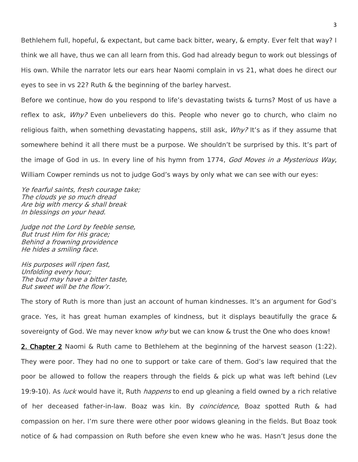Bethlehem full, hopeful, & expectant, but came back bitter, weary, & empty. Ever felt that way? I think we all have, thus we can all learn from this. God had already begun to work out blessings of His own. While the narrator lets our ears hear Naomi complain in vs 21, what does he direct our eyes to see in vs 22? Ruth & the beginning of the barley harvest.

Before we continue, how do you respond to life's devastating twists & turns? Most of us have a reflex to ask, *Why?* Even unbelievers do this. People who never go to church, who claim no religious faith, when something devastating happens, still ask,  $W h v$ ? It's as if they assume that somewhere behind it all there must be a purpose. We shouldn't be surprised by this. It's part of the image of God in us. In every line of his hymn from 1774, God Moves in a Mysterious Way, William Cowper reminds us not to judge God's ways by only what we can see with our eyes:

Ye fearful saints, fresh courage take; The clouds ye so much dread Are big with mercy & shall break In blessings on your head.

Judge not the Lord by feeble sense, But trust Him for His grace; Behind a frowning providence He hides a smiling face.

His purposes will ripen fast, Unfolding every hour; The bud may have a bitter taste, But sweet will be the flow'r.

The story of Ruth is more than just an account of human kindnesses. It's an argument for God's grace. Yes, it has great human examples of kindness, but it displays beautifully the grace & sovereignty of God. We may never know why but we can know & trust the One who does know!

2. Chapter 2 Naomi & Ruth came to Bethlehem at the beginning of the harvest season (1:22). They were poor. They had no one to support or take care of them. God's law required that the poor be allowed to follow the reapers through the fields & pick up what was left behind (Lev 19:9-10). As *luck* would have it, Ruth *happens* to end up gleaning a field owned by a rich relative of her deceased father-in-law. Boaz was kin. By *coincidence*, Boaz spotted Ruth & had compassion on her. I'm sure there were other poor widows gleaning in the fields. But Boaz took notice of & had compassion on Ruth before she even knew who he was. Hasn't Jesus done the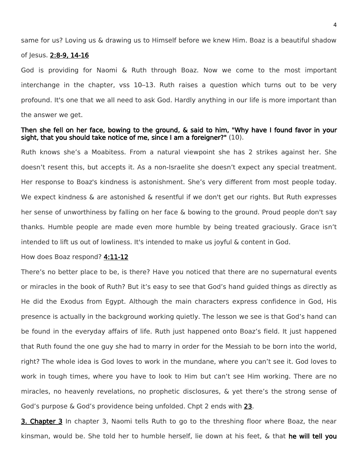same for us? Loving us & drawing us to Himself before we knew Him. Boaz is a beautiful shadow

#### of Jesus. 2:8-9, 14-16

God is providing for Naomi & Ruth through Boaz. Now we come to the most important interchange in the chapter, vss 10–13. Ruth raises a question which turns out to be very profound. It's one that we all need to ask God. Hardly anything in our life is more important than the answer we get.

# Then she fell on her face, bowing to the ground, & said to him, "Why have I found favor in your sight, that you should take notice of me, since I am a foreigner?" (10).

Ruth knows she's a Moabitess. From a natural viewpoint she has 2 strikes against her. She doesn't resent this, but accepts it. As a non-Israelite she doesn't expect any special treatment. Her response to Boaz's kindness is astonishment. She's very different from most people today. We expect kindness & are astonished & resentful if we don't get our rights. But Ruth expresses her sense of unworthiness by falling on her face & bowing to the ground. Proud people don't say thanks. Humble people are made even more humble by being treated graciously. Grace isn't intended to lift us out of lowliness. It's intended to make us joyful & content in God.

#### How does Boaz respond? 4:11-12

There's no better place to be, is there? Have you noticed that there are no supernatural events or miracles in the book of Ruth? But it's easy to see that God's hand guided things as directly as He did the Exodus from Egypt. Although the main characters express confidence in God, His presence is actually in the background working quietly. The lesson we see is that God's hand can be found in the everyday affairs of life. Ruth just happened onto Boaz's field. It just happened that Ruth found the one guy she had to marry in order for the Messiah to be born into the world, right? The whole idea is God loves to work in the mundane, where you can't see it. God loves to work in tough times, where you have to look to Him but can't see Him working. There are no miracles, no heavenly revelations, no prophetic disclosures, & yet there's the strong sense of God's purpose & God's providence being unfolded. Chpt 2 ends with 23.

**3. Chapter 3** In chapter 3, Naomi tells Ruth to go to the threshing floor where Boaz, the near kinsman, would be. She told her to humble herself, lie down at his feet, & that he will tell you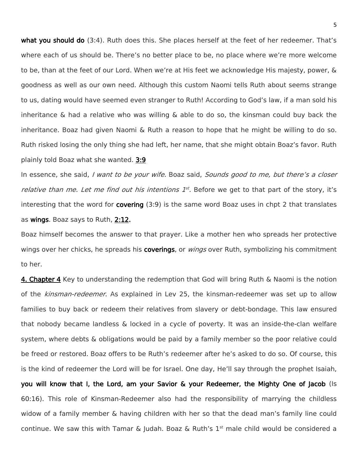what you should do (3:4). Ruth does this. She places herself at the feet of her redeemer. That's where each of us should be. There's no better place to be, no place where we're more welcome to be, than at the feet of our Lord. When we're at His feet we acknowledge His majesty, power, & goodness as well as our own need. Although this custom Naomi tells Ruth about seems strange to us, dating would have seemed even stranger to Ruth! According to God's law, if a man sold his inheritance  $\&$  had a relative who was willing  $\&$  able to do so, the kinsman could buy back the inheritance. Boaz had given Naomi & Ruth a reason to hope that he might be willing to do so. Ruth risked losing the only thing she had left, her name, that she might obtain Boaz's favor. Ruth plainly told Boaz what she wanted. 3:9

In essence, she said, *I want to be your wife.* Boaz said, *Sounds good to me, but there's a closer relative than me. Let me find out his intentions*  $1^{st}$ *.* Before we get to that part of the story, it's interesting that the word for **covering** (3:9) is the same word Boaz uses in chpt 2 that translates as wings. Boaz says to Ruth, 2:12.

Boaz himself becomes the answer to that prayer. Like a mother hen who spreads her protective wings over her chicks, he spreads his **coverings**, or *wings* over Ruth, symbolizing his commitment to her.

4. Chapter 4 Key to understanding the redemption that God will bring Ruth & Naomi is the notion of the kinsman-redeemer. As explained in Lev 25, the kinsman-redeemer was set up to allow families to buy back or redeem their relatives from slavery or debt-bondage. This law ensured that nobody became landless & locked in a cycle of poverty. It was an inside-the-clan welfare system, where debts & obligations would be paid by a family member so the poor relative could be freed or restored. Boaz offers to be Ruth's redeemer after he's asked to do so. Of course, this is the kind of redeemer the Lord will be for Israel. One day, He'll say through the prophet Isaiah, you will know that I, the Lord, am your Savior & your Redeemer, the Mighty One of Jacob (Is 60:16). This role of Kinsman-Redeemer also had the responsibility of marrying the childless widow of a family member & having children with her so that the dead man's family line could continue. We saw this with Tamar & Judah. Boaz & Ruth's  $1<sup>st</sup>$  male child would be considered a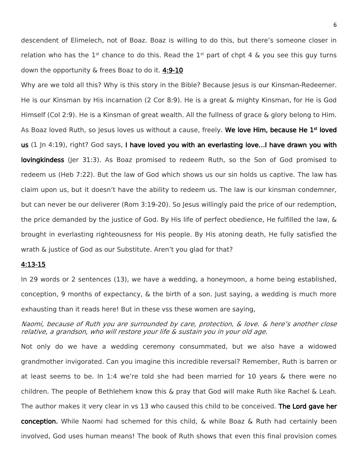descendent of Elimelech, not of Boaz. Boaz is willing to do this, but there's someone closer in relation who has the 1<sup>st</sup> chance to do this. Read the 1<sup>st</sup> part of chpt 4 & you see this guy turns down the opportunity & frees Boaz to do it. 4:9-10

Why are we told all this? Why is this story in the Bible? Because Jesus is our Kinsman-Redeemer. He is our Kinsman by His incarnation (2 Cor 8:9). He is a great & mighty Kinsman, for He is God Himself (Col 2:9). He is a Kinsman of great wealth. All the fullness of grace & glory belong to Him. As Boaz loved Ruth, so Jesus loves us without a cause, freely. We love Him, because He 1<sup>st</sup> loved us (1 In 4:19), right? God says, I have loved you with an everlasting love...I have drawn you with lovingkindess (Jer 31:3). As Boaz promised to redeem Ruth, so the Son of God promised to redeem us (Heb 7:22). But the law of God which shows us our sin holds us captive. The law has claim upon us, but it doesn't have the ability to redeem us. The law is our kinsman condemner, but can never be our deliverer (Rom 3:19-20). So Jesus willingly paid the price of our redemption, the price demanded by the justice of God. By His life of perfect obedience, He fulfilled the law, & brought in everlasting righteousness for His people. By His atoning death, He fully satisfied the wrath & justice of God as our Substitute. Aren't you glad for that?

## 4:13-15

In 29 words or 2 sentences (13), we have a wedding, a honeymoon, a home being established, conception, 9 months of expectancy, & the birth of a son. Just saying, a wedding is much more exhausting than it reads here! But in these vss these women are saying,

Naomi, because of Ruth you are surrounded by care, protection, & love. & here's another close relative, a grandson, who will restore your life & sustain you in your old age.

Not only do we have a wedding ceremony consummated, but we also have a widowed grandmother invigorated. Can you imagine this incredible reversal? Remember, Ruth is barren or at least seems to be. In 1:4 we're told she had been married for 10 years & there were no children. The people of Bethlehem know this & pray that God will make Ruth like Rachel & Leah. The author makes it very clear in vs 13 who caused this child to be conceived. **The Lord gave her** conception. While Naomi had schemed for this child, & while Boaz & Ruth had certainly been involved, God uses human means! The book of Ruth shows that even this final provision comes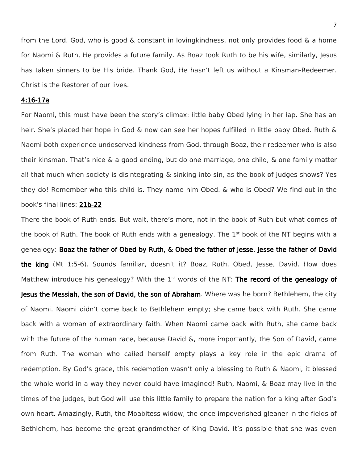from the Lord. God, who is good & constant in lovingkindness, not only provides food & a home for Naomi & Ruth, He provides a future family. As Boaz took Ruth to be his wife, similarly, Jesus has taken sinners to be His bride. Thank God, He hasn't left us without a Kinsman-Redeemer. Christ is the Restorer of our lives.

### 4:16-17a

For Naomi, this must have been the story's climax: little baby Obed lying in her lap. She has an heir. She's placed her hope in God & now can see her hopes fulfilled in little baby Obed. Ruth & Naomi both experience undeserved kindness from God, through Boaz, their redeemer who is also their kinsman. That's nice & a good ending, but do one marriage, one child, & one family matter all that much when society is disintegrating & sinking into sin, as the book of Judges shows? Yes they do! Remember who this child is. They name him Obed. & who is Obed? We find out in the book's final lines: 21b-22

There the book of Ruth ends. But wait, there's more, not in the book of Ruth but what comes of the book of Ruth. The book of Ruth ends with a genealogy. The  $1<sup>st</sup>$  book of the NT begins with a genealogy: Boaz the father of Obed by Ruth, & Obed the father of Jesse. Jesse the father of David the king (Mt 1:5-6). Sounds familiar, doesn't it? Boaz, Ruth, Obed, Jesse, David. How does Matthew introduce his genealogy? With the  $1<sup>st</sup>$  words of the NT: The record of the genealogy of Jesus the Messiah, the son of David, the son of Abraham. Where was he born? Bethlehem, the city of Naomi. Naomi didn't come back to Bethlehem empty; she came back with Ruth. She came back with a woman of extraordinary faith. When Naomi came back with Ruth, she came back with the future of the human race, because David &, more importantly, the Son of David, came from Ruth. The woman who called herself empty plays a key role in the epic drama of redemption. By God's grace, this redemption wasn't only a blessing to Ruth & Naomi, it blessed the whole world in a way they never could have imagined! Ruth, Naomi, & Boaz may live in the times of the judges, but God will use this little family to prepare the nation for a king after God's own heart. Amazingly, Ruth, the Moabitess widow, the once impoverished gleaner in the fields of Bethlehem, has become the great grandmother of King David. It's possible that she was even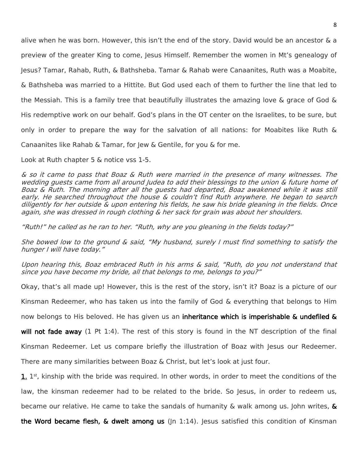alive when he was born. However, this isn't the end of the story. David would be an ancestor & a preview of the greater King to come, Jesus Himself. Remember the women in Mt's genealogy of Jesus? Tamar, Rahab, Ruth, & Bathsheba. Tamar & Rahab were Canaanites, Ruth was a Moabite, & Bathsheba was married to a Hittite. But God used each of them to further the line that led to the Messiah. This is a family tree that beautifully illustrates the amazing love & grace of God & His redemptive work on our behalf. God's plans in the OT center on the Israelites, to be sure, but only in order to prepare the way for the salvation of all nations: for Moabites like Ruth & Canaanites like Rahab & Tamar, for lew & Gentile, for you & for me.

Look at Ruth chapter 5 & notice vss 1-5.

& so it came to pass that Boaz & Ruth were married in the presence of many witnesses. The wedding guests came from all around Judea to add their blessings to the union & future home of Boaz & Ruth. The morning after all the guests had departed, Boaz awakened while it was still early. He searched throughout the house & couldn't find Ruth anywhere. He began to search diligently for her outside & upon entering his fields, he saw his bride gleaning in the fields. Once again, she was dressed in rough clothing & her sack for grain was about her shoulders.

"Ruth!" he called as he ran to her. "Ruth, why are you gleaning in the fields today?"

She bowed low to the ground & said, "My husband, surely I must find something to satisfy the hunger I will have today."

Upon hearing this, Boaz embraced Ruth in his arms & said, "Ruth, do you not understand that since you have become my bride, all that belongs to me, belongs to you?"

Okay, that's all made up! However, this is the rest of the story, isn't it? Boaz is a picture of our

Kinsman Redeemer, who has taken us into the family of God & everything that belongs to Him

now belongs to His beloved. He has given us an inheritance which is imperishable & undefiled &

will not fade away (1 Pt 1:4). The rest of this story is found in the NT description of the final

Kinsman Redeemer. Let us compare briefly the illustration of Boaz with Jesus our Redeemer.

There are many similarities between Boaz & Christ, but let's look at just four.

1. 1<sup>st</sup>, kinship with the bride was required. In other words, in order to meet the conditions of the law, the kinsman redeemer had to be related to the bride. So Jesus, in order to redeem us, became our relative. He came to take the sandals of humanity & walk among us. John writes,  $\&$ 

the Word became flesh,  $\&$  dwelt among us ( $|n \t1:14$ ). Jesus satisfied this condition of Kinsman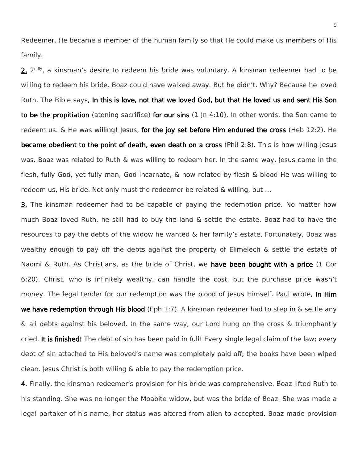Redeemer. He became a member of the human family so that He could make us members of His family.

2. 2<sup>ndly</sup>, a kinsman's desire to redeem his bride was voluntary. A kinsman redeemer had to be willing to redeem his bride. Boaz could have walked away. But he didn't. Why? Because he loved Ruth. The Bible says, In this is love, not that we loved God, but that He loved us and sent His Son to be the propitiation (atoning sacrifice) for our sins (1 In 4:10). In other words, the Son came to redeem us.  $\&$  He was willing! Jesus, for the joy set before Him endured the cross (Heb 12:2). He became obedient to the point of death, even death on a cross (Phil 2:8). This is how willing Jesus was. Boaz was related to Ruth & was willing to redeem her. In the same way, Jesus came in the flesh, fully God, yet fully man, God incarnate, & now related by flesh & blood He was willing to redeem us, His bride. Not only must the redeemer be related & willing, but …

**3.** The kinsman redeemer had to be capable of paying the redemption price. No matter how much Boaz loved Ruth, he still had to buy the land & settle the estate. Boaz had to have the resources to pay the debts of the widow he wanted & her family's estate. Fortunately, Boaz was wealthy enough to pay off the debts against the property of Elimelech & settle the estate of Naomi & Ruth. As Christians, as the bride of Christ, we have been bought with a price (1 Cor 6:20). Christ, who is infinitely wealthy, can handle the cost, but the purchase price wasn't money. The legal tender for our redemption was the blood of Jesus Himself. Paul wrote, In Him we have redemption through His blood (Eph 1:7). A kinsman redeemer had to step in & settle any & all debts against his beloved. In the same way, our Lord hung on the cross & triumphantly cried, It is finished! The debt of sin has been paid in full! Every single legal claim of the law; every debt of sin attached to His beloved's name was completely paid off; the books have been wiped clean. Jesus Christ is both willing & able to pay the redemption price.

4. Finally, the kinsman redeemer's provision for his bride was comprehensive. Boaz lifted Ruth to his standing. She was no longer the Moabite widow, but was the bride of Boaz. She was made a legal partaker of his name, her status was altered from alien to accepted. Boaz made provision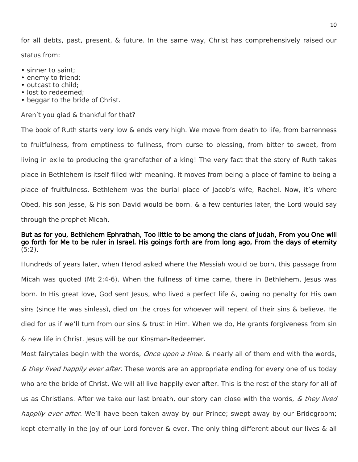for all debts, past, present, & future. In the same way, Christ has comprehensively raised our status from:

- sinner to saint;
- enemy to friend;
- outcast to child;
- lost to redeemed;
- beggar to the bride of Christ.

#### Aren't you glad & thankful for that?

The book of Ruth starts very low & ends very high. We move from death to life, from barrenness to fruitfulness, from emptiness to fullness, from curse to blessing, from bitter to sweet, from living in exile to producing the grandfather of a king! The very fact that the story of Ruth takes place in Bethlehem is itself filled with meaning. It moves from being a place of famine to being a place of fruitfulness. Bethlehem was the burial place of Jacob's wife, Rachel. Now, it's where Obed, his son Jesse,  $\&$  his son David would be born.  $\&$  a few centuries later, the Lord would say through the prophet Micah,

### But as for you, Bethlehem Ephrathah, Too little to be among the clans of Judah, From you One will go forth for Me to be ruler in Israel. His goings forth are from long ago, From the days of eternity  $(5:2)$ .

Hundreds of years later, when Herod asked where the Messiah would be born, this passage from Micah was quoted (Mt 2:4-6). When the fullness of time came, there in Bethlehem, Jesus was born. In His great love, God sent Jesus, who lived a perfect life &, owing no penalty for His own sins (since He was sinless), died on the cross for whoever will repent of their sins & believe. He died for us if we'll turn from our sins & trust in Him. When we do, He grants forgiveness from sin & new life in Christ. Jesus will be our Kinsman-Redeemer.

Most fairytales begin with the words, *Once upon a time*. & nearly all of them end with the words, & they lived happily ever after. These words are an appropriate ending for every one of us today who are the bride of Christ. We will all live happily ever after. This is the rest of the story for all of us as Christians. After we take our last breath, our story can close with the words,  $\&$  they lived happily ever after. We'll have been taken away by our Prince; swept away by our Bridegroom; kept eternally in the joy of our Lord forever & ever. The only thing different about our lives & all